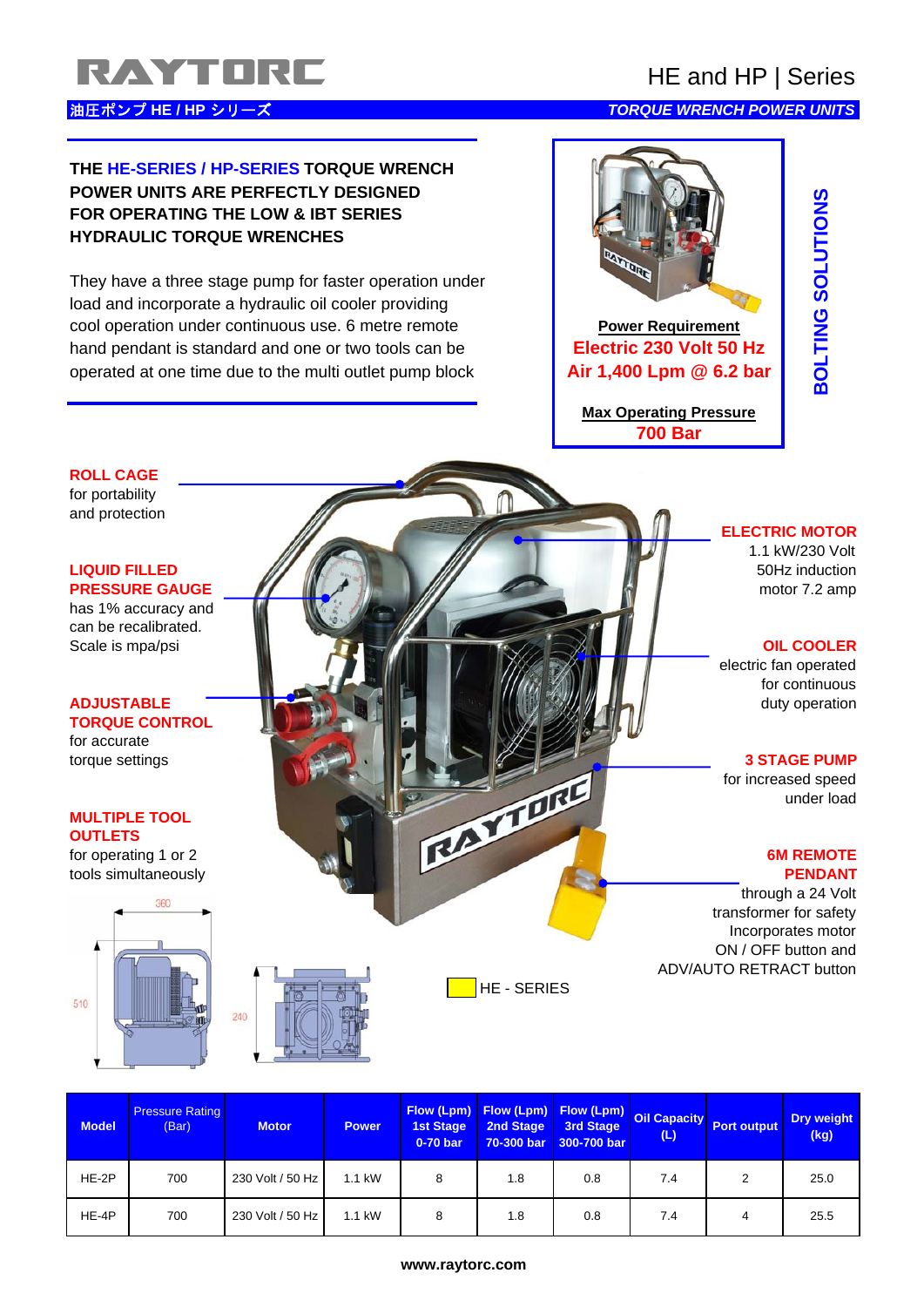# RAYTORE HE and HP | Series

# 油圧ポンプ **HE / HP** シリーズ *TORQUE WRENCH POWER UNITS*

# **THE HE-SERIES / HP-SERIES TORQUE WRENCH POWER UNITS ARE PERFECTLY DESIGNED FOR OPERATING THE LOW & IBT SERIES HYDRAULIC TORQUE WRENCHES**

They have a three stage pump for faster operation under load and incorporate a hydraulic oil cooler providing cool operation under continuous use. 6 metre remote **Power Requirement** hand pendant is standard and one or two tools can be **Electric 230 Volt 50 Hz** operated at one time due to the multi outlet pump block **Air 1,400 Lpm @ 6.2 bar**



**Max Operating Pressure 700 Bar**

# **BOLTING SOLUTIONS COLUTIONS** ON DISTRIBUTIONS SOLUTIONS SOLUTIONS SOLUTIONS SOLUTIONS SOLUTIONS SOLUTIONS SOLUTIONS SOLUTIONS SOLUTIONS

# **ELECTRIC MOTOR**

1.1 kW/230 Volt

electric fan operated for continuous

# **torque settings 3 STAGE PUMP**

for increased speed under load for increased speed<br>outLETS<br>for operating 1 or 2<br>tools simultaneously.

through a 24 Volt transformer for safety Incorporates motor ON / OFF button and ADV/AUTO RETRACT button

| <b>Model</b> | <b>Pressure Rating</b><br>(Bar) | <b>Motor</b>     | <b>Power</b> | 0-70 bar |     | 70-300 bar 300-700 bar | (L) | Flow (Lpm) Flow (Lpm) Flow (Lpm) Oil Capacity Port output | <b>Dry weight</b><br>(kg) |
|--------------|---------------------------------|------------------|--------------|----------|-----|------------------------|-----|-----------------------------------------------------------|---------------------------|
| HE-2P        | 700                             | 230 Volt / 50 Hz | 1.1 kW       | 8        | 1.8 | 0.8                    | 7.4 | 2                                                         | 25.0                      |
| HE-4P        | 700                             | 230 Volt / 50 Hz | 1.1 kW       | 8        | 1.8 | 0.8                    | 7.4 | 4                                                         | 25.5                      |

HE - SERIES

# for portability and protection

**ROLL CAGE**

# **LIQUID FILLED** 50Hz induction **PRESSURE GAUGE A MALLET MALLET AND MOTOR CONTRACT A MALLET AND MOTOR CONTRACT A MALLET AND MOTOR CONTRACT A MALLET AND MOTOR CONTRACT A MALLET AND MOTOR CONTRACT A MALLET AND MOTOR CONTRACT A MALLET AND MOTOR CONTRACT A M**

has 1% accuracy and can be recalibrated. Scale is mpa/psi **The Cooler OIL COOLER** 

# **ADJUSTABLE duty operation TORQUE CONTROL** for accurate

# **MULTIPLE TOOL OUTLETS**

tools simultaneously **PENDANT**